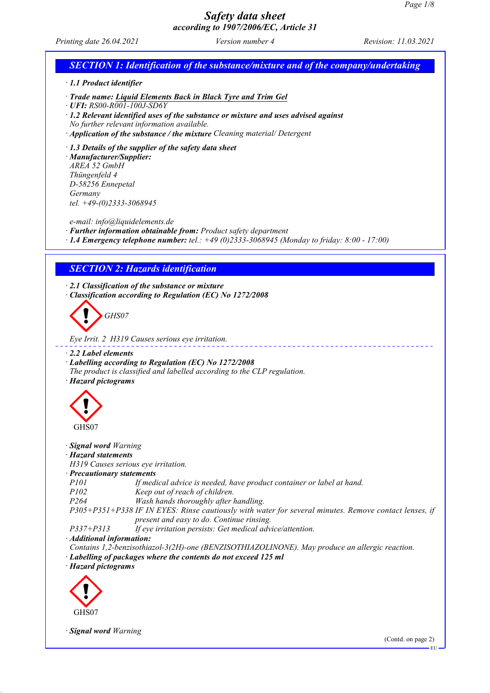*Printing date 26.04.2021 Version number 4 Revision: 11.03.2021*

# *SECTION 1: Identification of the substance/mixture and of the company/undertaking*

*· 1.1 Product identifier*

*· Trade name: Liquid Elements Back in Black Tyre and Trim Gel*

*· UFI: RS00-R001-100J-SD6Y*

*· 1.2 Relevant identified uses of the substance or mixture and uses advised against*

*No further relevant information available.*

*· Application of the substance / the mixture Cleaning material/ Detergent*

*· 1.3 Details of the supplier of the safety data sheet*

*· Manufacturer/Supplier: AREA 52 GmbH Thüngenfeld 4 D-58256 Ennepetal Germany tel. +49-(0)2333-3068945*

*e-mail: info@liquidelements.de*

*· Further information obtainable from: Product safety department*

*· 1.4 Emergency telephone number: tel.: +49 (0)2333-3068945 (Monday to friday: 8:00 - 17:00)*

## *SECTION 2: Hazards identification*

*· 2.1 Classification of the substance or mixture · Classification according to Regulation (EC) No 1272/2008*



*Eye Irrit. 2 H319 Causes serious eye irritation.*

#### *· 2.2 Label elements*

*· Labelling according to Regulation (EC) No 1272/2008 The product is classified and labelled according to the CLP regulation.*

*· Hazard pictograms*



*· Signal word Warning*

### *· Hazard statements*

*H319 Causes serious eye irritation.*

*· Precautionary statements*

*P101 If medical advice is needed, have product container or label at hand.*

*P102 Keep out of reach of children.*

*P264 Wash hands thoroughly after handling.*

*P305+P351+P338 IF IN EYES: Rinse cautiously with water for several minutes. Remove contact lenses, if present and easy to do. Continue rinsing.*

*P337+P313 If eye irritation persists: Get medical advice/attention.*

*· Additional information:*

*Contains 1,2-benzisothiazol-3(2H)-one (BENZISOTHIAZOLINONE). May produce an allergic reaction.*

*· Labelling of packages where the contents do not exceed 125 ml*

*· Hazard pictograms*



*· Signal word Warning*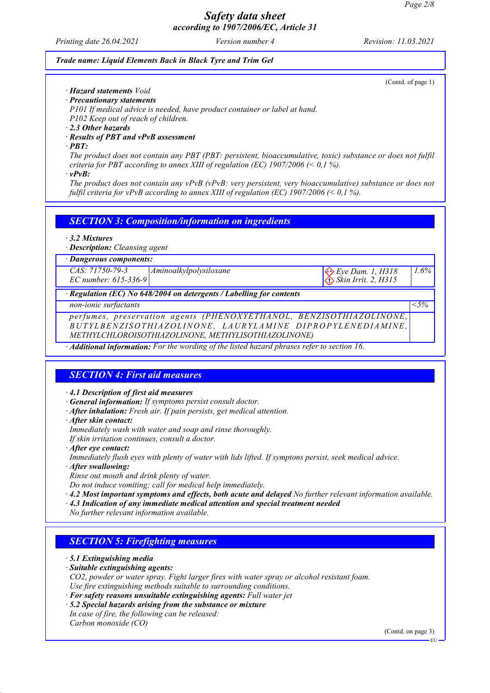*Printing date 26.04.2021 Version number 4 Revision: 11.03.2021*

 *Skin Irrit. 2, H315*

### *Trade name: Liquid Elements Back in Black Tyre and Trim Gel*

(Contd. of page 1)

*1.6%*

- *· Hazard statements Void · Precautionary statements*
- *P101 If medical advice is needed, have product container or label at hand. P102 Keep out of reach of children.*
- *· 2.3 Other hazards*
- *· Results of PBT and vPvB assessment*
- *· PBT:*

*The product does not contain any PBT (PBT: persistent, bioaccumulative, toxic) substance or does not fulfil criteria for PBT according to annex XIII of regulation (EC) 1907/2006 (< 0,1 %).*

*· vPvB:*

*The product does not contain any vPvB (vPvB: very persistent, very bioaccumulative) substance or does not fulfil criteria for vPvB according to annex XIII of regulation (EC) 1907/2006 (< 0,1 %).*

*SECTION 3: Composition/information on ingredients*

- *· 3.2 Mixtures*
- *· Description: Cleansing agent*
- *· Dangerous components:*

*CAS: 71750-79-3 EC number: 615-336-9 Aminoalkylpolysiloxane*  $\left\langle \diamondsuit \right\rangle$  Eye Dam. 1, H318

*· Regulation (EC) No 648/2004 on detergents / Labelling for contents*

*non-ionic surfactants <5%*

*perfumes, preservation agents (PHENOXYETHANOL, BENZISOTHIAZOLINONE, B U T Y L B E N Z I S O T H I A Z O L I N O N E , L A U R Y L A M I N E D I P R O P Y L E N E D IA M I N E , METHYLCHLOROISOTHIAZOLINONE, METHYLISOTHIAZOLINONE)*

*· Additional information: For the wording of the listed hazard phrases refer to section 16.*

# *SECTION 4: First aid measures*

*· 4.1 Description of first aid measures*

- *· General information: If symptoms persist consult doctor.*
- *· After inhalation: Fresh air. If pain persists, get medical attention.*
- *· After skin contact:*
- *Immediately wash with water and soap and rinse thoroughly.*

*If skin irritation continues, consult a doctor.*

- *· After eye contact:*
- *Immediately flush eyes with plenty of water with lids lifted. If symptons persist, seek medical advice.*
- *· After swallowing:*

*Rinse out mouth and drink plenty of water.*

*Do not induce vomiting; call for medical help immediately.*

- *· 4.2 Most important symptoms and effects, both acute and delayed No further relevant information available.*
- *· 4.3 Indication of any immediate medical attention and special treatment needed*
- *No further relevant information available.*

## *SECTION 5: Firefighting measures*

- *· 5.1 Extinguishing media*
- *· Suitable extinguishing agents:*

*CO2, powder or water spray. Fight larger fires with water spray or alcohol resistant foam. Use fire extinguishing methods suitable to surrounding conditions.*

- *· For safety reasons unsuitable extinguishing agents: Full water jet*
- *· 5.2 Special hazards arising from the substance or mixture*
- *In case of fire, the following can be released: Carbon monoxide (CO)*

(Contd. on page 3)

EU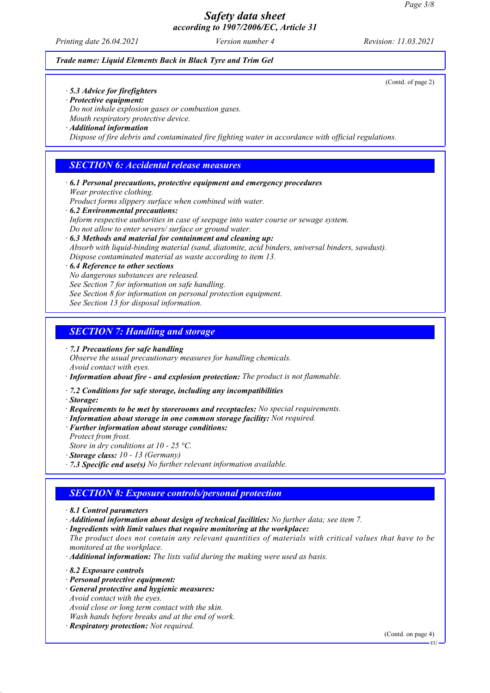*Printing date 26.04.2021 Version number 4 Revision: 11.03.2021*

(Contd. of page 2)

### *Trade name: Liquid Elements Back in Black Tyre and Trim Gel*

*· 5.3 Advice for firefighters*

- *· Protective equipment:*
- *Do not inhale explosion gases or combustion gases. Mouth respiratory protective device.*

*· Additional information*

*Dispose of fire debris and contaminated fire fighting water in accordance with official regulations.*

## *SECTION 6: Accidental release measures*

*· 6.1 Personal precautions, protective equipment and emergency procedures Wear protective clothing. Product forms slippery surface when combined with water. · 6.2 Environmental precautions:*

*Inform respective authorities in case of seepage into water course or sewage system. Do not allow to enter sewers/ surface or ground water.*

*· 6.3 Methods and material for containment and cleaning up: Absorb with liquid-binding material (sand, diatomite, acid binders, universal binders, sawdust). Dispose contaminated material as waste according to item 13.*

### *· 6.4 Reference to other sections*

*No dangerous substances are released.*

*See Section 7 for information on safe handling.*

*See Section 8 for information on personal protection equipment.*

*See Section 13 for disposal information.*

## *SECTION 7: Handling and storage*

*· 7.1 Precautions for safe handling Observe the usual precautionary measures for handling chemicals. Avoid contact with eyes.*

- *· Information about fire and explosion protection: The product is not flammable.*
- *· 7.2 Conditions for safe storage, including any incompatibilities*
- *· Storage:*
- *· Requirements to be met by storerooms and receptacles: No special requirements.*
- *· Information about storage in one common storage facility: Not required.*
- *· Further information about storage conditions:*

*Protect from frost.*

*Store in dry conditions at 10 - 25 °C.*

*· Storage class: 10 - 13 (Germany)*

*· 7.3 Specific end use(s) No further relevant information available.*

## *SECTION 8: Exposure controls/personal protection*

- *· 8.1 Control parameters*
- *· Additional information about design of technical facilities: No further data; see item 7.*
- *· Ingredients with limit values that require monitoring at the workplace:*

*The product does not contain any relevant quantities of materials with critical values that have to be monitored at the workplace.*

*· Additional information: The lists valid during the making were used as basis.*

*· 8.2 Exposure controls*

- *· Personal protective equipment:*
- *· General protective and hygienic measures: Avoid contact with the eyes.*

*Avoid close or long term contact with the skin. Wash hands before breaks and at the end of work.*

*· Respiratory protection: Not required.*

(Contd. on page 4)

EU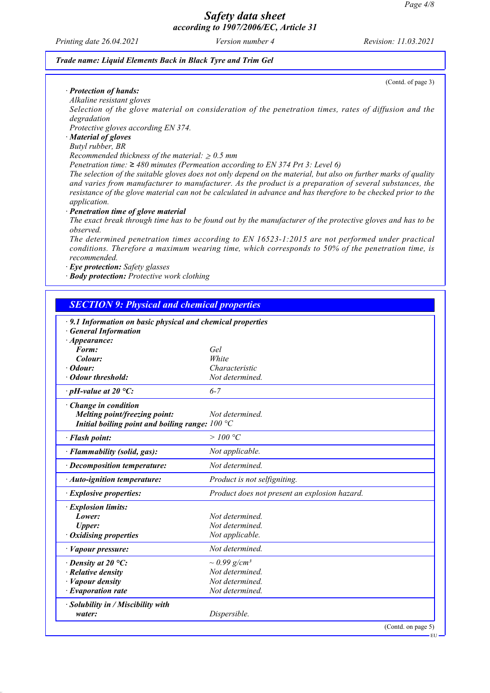*Printing date 26.04.2021 Version number 4 Revision: 11.03.2021*

(Contd. of page 3)

### *Trade name: Liquid Elements Back in Black Tyre and Trim Gel*

### *· Protection of hands:*

*Alkaline resistant gloves*

*Selection of the glove material on consideration of the penetration times, rates of diffusion and the degradation*

*Protective gloves according EN 374.*

# *· Material of gloves*

## *Butyl rubber, BR*

*Recommended thickness of the material:*  $\geq 0.5$  *mm* 

*Penetration time: ≥ 480 minutes (Permeation according to EN 374 Prt 3: Level 6)*

*The selection of the suitable gloves does not only depend on the material, but also on further marks of quality and varies from manufacturer to manufacturer. As the product is a preparation of several substances, the resistance of the glove material can not be calculated in advance and has therefore to be checked prior to the application.*

### *· Penetration time of glove material*

*The exact break through time has to be found out by the manufacturer of the protective gloves and has to be observed.*

*The determined penetration times according to EN 16523-1:2015 are not performed under practical conditions. Therefore a maximum wearing time, which corresponds to 50% of the penetration time, is recommended.*

*· Eye protection: Safety glasses*

*· Body protection: Protective work clothing*

## *SECTION 9: Physical and chemical properties*

| · 9.1 Information on basic physical and chemical properties |                                               |
|-------------------------------------------------------------|-----------------------------------------------|
| <b>General Information</b>                                  |                                               |
| $\cdot$ Appearance:<br>Form:                                | Gel                                           |
| Colour:                                                     | White                                         |
| $\cdot$ Odour:                                              | Characteristic                                |
| · Odour threshold:                                          | Not determined.                               |
| $\cdot$ pH-value at 20 °C:                                  | $6 - 7$                                       |
| Change in condition                                         |                                               |
| Melting point/freezing point:                               | Not determined.                               |
| Initial boiling point and boiling range: $100 °C$           |                                               |
| · Flash point:                                              | >100 °C                                       |
| · Flammability (solid, gas):                                | Not applicable.                               |
| $\cdot$ Decomposition temperature:                          | Not determined.                               |
| $\cdot$ Auto-ignition temperature:                          | Product is not selfigniting.                  |
| $\cdot$ Explosive properties:                               | Product does not present an explosion hazard. |
| · Explosion limits:                                         |                                               |
| Lower:                                                      | Not determined.                               |
| <b>Upper:</b>                                               | Not determined.                               |
| <b>Oxidising properties</b>                                 | Not applicable.                               |
| · Vapour pressure:                                          | Not determined.                               |
| $\cdot$ Density at 20 °C:                                   | $\sim 0.99$ g/cm <sup>3</sup>                 |
| $\cdot$ Relative density                                    | Not determined.                               |
| · Vapour density                                            | Not determined.                               |
| $\cdot$ Evaporation rate                                    | Not determined.                               |
| $\cdot$ Solubility in / Miscibility with                    |                                               |
| water:                                                      | Dispersible.                                  |
|                                                             | (Contd. on page 5)                            |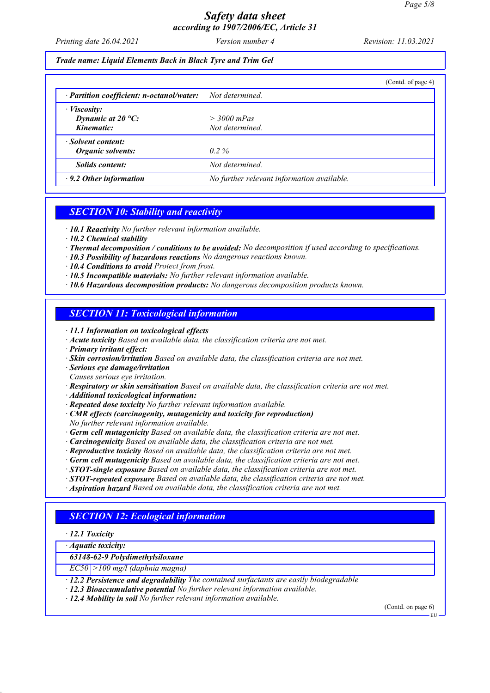*Printing date 26.04.2021 Version number 4 Revision: 11.03.2021*

### *Trade name: Liquid Elements Back in Black Tyre and Trim Gel*

|                                                                       | (Cond. of page 4)                          |
|-----------------------------------------------------------------------|--------------------------------------------|
| $\cdot$ Partition coefficient: n-octanol/water:                       | Not determined.                            |
| $\cdot$ <i>Viscosity:</i><br>Dynamic at $20^{\circ}$ C:<br>Kinematic: | $>$ 3000 mPas<br>Not determined.           |
| · Solvent content:<br>Organic solvents:                               | $0.2\%$                                    |
| <i>Solids content:</i>                                                | Not determined.                            |
| $\cdot$ 9.2 Other information                                         | No further relevant information available. |

## *SECTION 10: Stability and reactivity*

- *· 10.1 Reactivity No further relevant information available.*
- *· 10.2 Chemical stability*
- *· Thermal decomposition / conditions to be avoided: No decomposition if used according to specifications.*
- *· 10.3 Possibility of hazardous reactions No dangerous reactions known.*
- *· 10.4 Conditions to avoid Protect from frost.*
- *· 10.5 Incompatible materials: No further relevant information available.*
- *· 10.6 Hazardous decomposition products: No dangerous decomposition products known.*

# *SECTION 11: Toxicological information*

- *· 11.1 Information on toxicological effects*
- *· Acute toxicity Based on available data, the classification criteria are not met.*
- *· Primary irritant effect:*
- *· Skin corrosion/irritation Based on available data, the classification criteria are not met.*
- *· Serious eye damage/irritation*
- *Causes serious eye irritation.*
- *· Respiratory or skin sensitisation Based on available data, the classification criteria are not met.*
- *· Additional toxicological information:*
- *· Repeated dose toxicity No further relevant information available.*
- *· CMR effects (carcinogenity, mutagenicity and toxicity for reproduction) No further relevant information available.*
- *· Germ cell mutagenicity Based on available data, the classification criteria are not met.*
- *· Carcinogenicity Based on available data, the classification criteria are not met.*
- *· Reproductive toxicity Based on available data, the classification criteria are not met.*
- *· Germ cell mutagenicity Based on available data, the classification criteria are not met.*
- *· STOT-single exposure Based on available data, the classification criteria are not met.*
- *· STOT-repeated exposure Based on available data, the classification criteria are not met.*
- *· Aspiration hazard Based on available data, the classification criteria are not met.*

## *SECTION 12: Ecological information*

- *· 12.1 Toxicity*
- *· Aquatic toxicity:*

### *63148-62-9 Polydimethylsiloxane*

- *EC50 >100 mg/l (daphnia magna)*
- *· 12.2 Persistence and degradability The contained surfactants are easily biodegradable*
- *· 12.3 Bioaccumulative potential No further relevant information available.*
- *· 12.4 Mobility in soil No further relevant information available.*

(Contd. on page 6)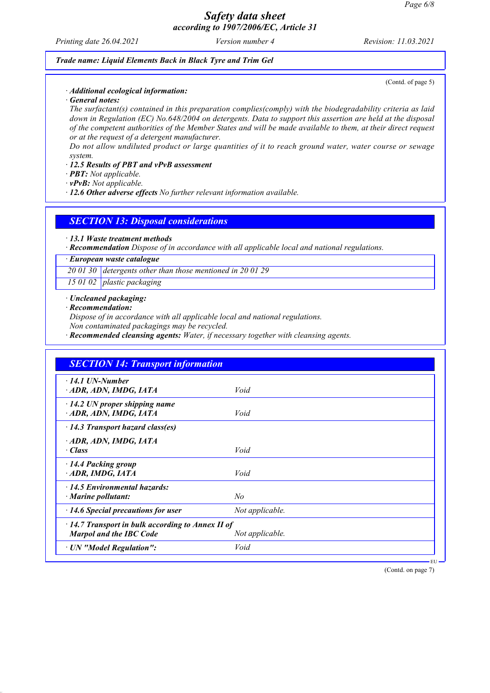*Printing date 26.04.2021 Version number 4 Revision: 11.03.2021*

### *Trade name: Liquid Elements Back in Black Tyre and Trim Gel*

(Contd. of page 5)

## *· Additional ecological information:*

*· General notes:*

*The surfactant(s) contained in this preparation complies(comply) with the biodegradability criteria as laid down in Regulation (EC) No.648/2004 on detergents. Data to support this assertion are held at the disposal of the competent authorities of the Member States and will be made available to them, at their direct request or at the request of a detergent manufacturer.*

*Do not allow undiluted product or large quantities of it to reach ground water, water course or sewage system.*

#### *· 12.5 Results of PBT and vPvB assessment*

*· PBT: Not applicable.*

*· vPvB: Not applicable.*

*· 12.6 Other adverse effects No further relevant information available.*

*SECTION 13: Disposal considerations*

*· 13.1 Waste treatment methods*

*· Recommendation Dispose of in accordance with all applicable local and national regulations.*

*· European waste catalogue*

*20 01 30 detergents other than those mentioned in 20 01 29*

*15 01 02 plastic packaging*

#### *· Uncleaned packaging:*

#### *· Recommendation:*

*Dispose of in accordance with all applicable local and national regulations.*

*Non contaminated packagings may be recycled.*

*· Recommended cleansing agents: Water, if necessary together with cleansing agents.*

| $\cdot$ 14.1 UN-Number<br>ADR, ADN, IMDG, IATA                                            | Void            |  |
|-------------------------------------------------------------------------------------------|-----------------|--|
| $\cdot$ 14.2 UN proper shipping name<br>ADR, ADN, IMDG, IATA                              | Void            |  |
| $\cdot$ 14.3 Transport hazard class(es)                                                   |                 |  |
| ADR, ADN, IMDG, IATA<br>· Class                                                           | Void            |  |
| 14.4 Packing group<br>ADR, IMDG, IATA                                                     | Void            |  |
| $\cdot$ 14.5 Environmental hazards:<br>$\cdot$ Marine pollutant:                          | No              |  |
| $\cdot$ 14.6 Special precautions for user                                                 | Not applicable. |  |
| $\cdot$ 14.7 Transport in bulk according to Annex II of<br><b>Marpol and the IBC Code</b> | Not applicable. |  |
| · UN "Model Regulation":                                                                  | Void            |  |

(Contd. on page 7)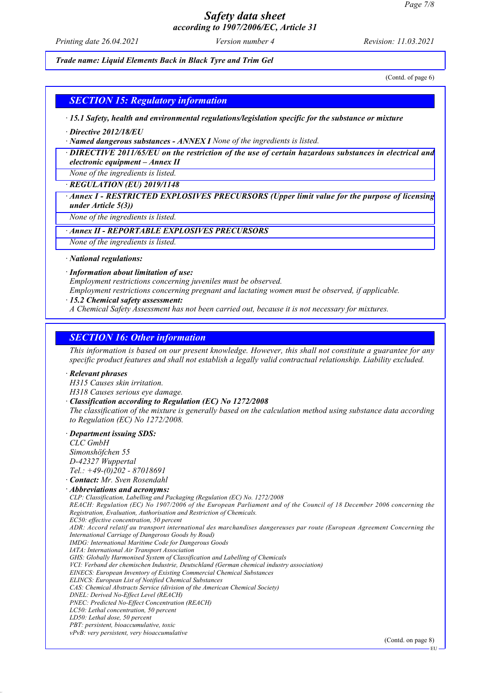*Printing date 26.04.2021 Version number 4 Revision: 11.03.2021*

*Trade name: Liquid Elements Back in Black Tyre and Trim Gel*

(Contd. of page 6)

## *SECTION 15: Regulatory information*

*· 15.1 Safety, health and environmental regulations/legislation specific for the substance or mixture*

*· Directive 2012/18/EU*

*· Named dangerous substances - ANNEX I None of the ingredients is listed.*

*· DIRECTIVE 2011/65/EU on the restriction of the use of certain hazardous substances in electrical and electronic equipment – Annex II*

*None of the ingredients is listed.*

*· REGULATION (EU) 2019/1148*

*· Annex I - RESTRICTED EXPLOSIVES PRECURSORS (Upper limit value for the purpose of licensing under Article 5(3))*

*None of the ingredients is listed.*

## *· Annex II - REPORTABLE EXPLOSIVES PRECURSORS*

*None of the ingredients is listed.*

*· National regulations:*

#### *· Information about limitation of use:*

*Employment restrictions concerning juveniles must be observed.*

*Employment restrictions concerning pregnant and lactating women must be observed, if applicable.*

#### *· 15.2 Chemical safety assessment:*

*A Chemical Safety Assessment has not been carried out, because it is not necessary for mixtures.*

## *SECTION 16: Other information*

*This information is based on our present knowledge. However, this shall not constitute a guarantee for any specific product features and shall not establish a legally valid contractual relationship. Liability excluded.*

#### *· Relevant phrases*

*H315 Causes skin irritation.*

*H318 Causes serious eye damage.*

#### *· Classification according to Regulation (EC) No 1272/2008*

*The classification of the mixture is generally based on the calculation method using substance data according to Regulation (EC) No 1272/2008.*

#### *· Department issuing SDS:*

*CLC GmbH Simonshöfchen 55 D-42327 Wuppertal Tel.: +49-(0)202 - 87018691*

## *· Contact: Mr. Sven Rosendahl*

*· Abbreviations and acronyms:*

*CLP: Classification, Labelling and Packaging (Regulation (EC) No. 1272/2008 REACH: Regulation (EC) No 1907/2006 of the European Parliament and of the Council of 18 December 2006 concerning the Registration, Evaluation, Authorisation and Restriction of Chemicals. EC50: effective concentration, 50 percent ADR: Accord relatif au transport international des marchandises dangereuses par route (European Agreement Concerning the International Carriage of Dangerous Goods by Road) IMDG: International Maritime Code for Dangerous Goods IATA: International Air Transport Association GHS: Globally Harmonised System of Classification and Labelling of Chemicals*

*VCI: Verband der chemischen Industrie, Deutschland (German chemical industry association)*

*EINECS: European Inventory of Existing Commercial Chemical Substances*

*ELINCS: European List of Notified Chemical Substances*

- *CAS: Chemical Abstracts Service (division of the American Chemical Society)*
- *DNEL: Derived No-Effect Level (REACH)*

*PNEC: Predicted No-Effect Concentration (REACH) LC50: Lethal concentration, 50 percent*

- 
- *LD50: Lethal dose, 50 percent PBT: persistent, bioaccumulative, toxic*

*vPvB: very persistent, very bioaccumulative*

(Contd. on page 8)